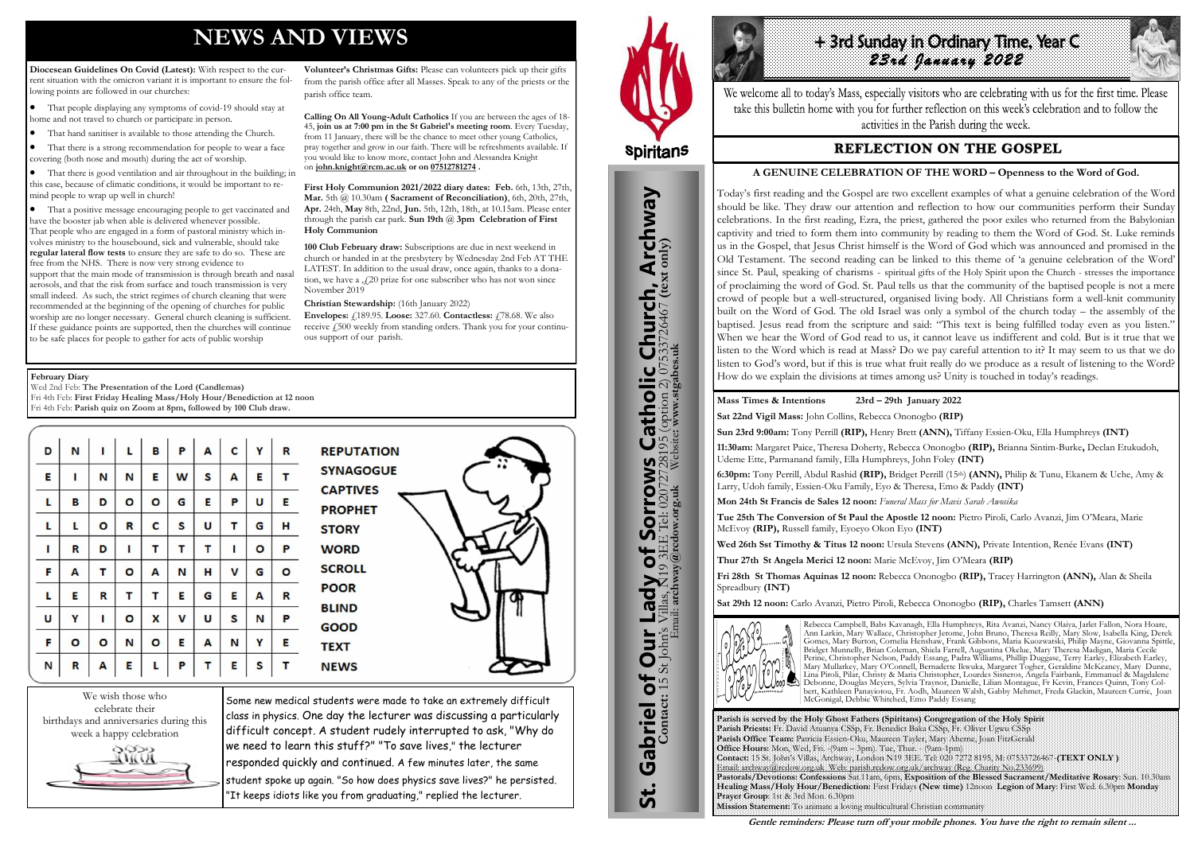# **NEWS AND VIEWS**

**Diocesean Guidelines On Covid (Latest):** With respect to the current situation with the omicron variant it is important to ensure the following points are followed in our churches:

- That people displaying any symptoms of covid-19 should stay at home and not travel to church or participate in person.
- That hand sanitiser is available to those attending the Church.
- That there is a strong recommendation for people to wear a face covering (both nose and mouth) during the act of worship.

 That there is good ventilation and air throughout in the building; in this case, because of climatic conditions, it would be important to remind people to wrap up well in church!

 That a positive message encouraging people to get vaccinated and have the booster jab when able is delivered whenever possible. That people who are engaged in a form of pastoral ministry which involves ministry to the housebound, sick and vulnerable, should take **regular lateral flow tests** to ensure they are safe to do so. These are free from the NHS. There is now very strong evidence to support that the main mode of transmission is through breath and nasal aerosols, and that the risk from surface and touch transmission is very small indeed. As such, the strict regimes of church cleaning that were recommended at the beginning of the opening of churches for public worship are no longer necessary. General church cleaning is sufficient. If these guidance points are supported, then the churches will continue to be safe places for people to gather for acts of public worship

**Volunteer's Christmas Gifts:** Please can volunteers pick up their gifts from the parish office after all Masses. Speak to any of the priests or the parish office team.

*23rd January 2022*  We welcome all to today's Mass, especially visitors who are celebrating with us for the first time. Please take this bulletin home with you for further reflection on this week's celebration and to follow the activities in the Parish during the week.

### **REFLECTION ON THE GOSPEL**

**Calling On All Young-Adult Catholics** If you are between the ages of 18- 45, **join us at 7:00 pm in the St Gabriel's meeting room**. Every Tuesday, from 11 January, there will be the chance to meet other young Catholics, pray together and grow in our faith. There will be refreshments available. If you would like to know more, contact John and Alessandra Knight on **[john.knight@rcm.ac.uk](mailto:john.knight@rcm.ac.uk) or on [07512781274](tel:+447512781274) .**

**First Holy Communion 2021/2022 diary dates: Feb.** 6th, 13th, 27th, **Mar.** 5th @ 10.30am **( Sacrament of Reconciliation)**, 6th, 20th, 27th, **Apr.** 24th, **May** 8th, 22nd, **Jun.** 5th, 12th, 18th, at 10.15am. Please enter through the parish car park. **Sun 19th** @ **3pm Celebration of First Holy Communion**

**100 Club February draw:** Subscriptions are due in next weekend in church or handed in at the presbytery by Wednesday 2nd Feb AT THE LATEST. In addition to the usual draw, once again, thanks to a donation, we have a  $\int$  20 prize for one subscriber who has not won since November 2019

**Christian Stewardship:** (16th January 2022)

**Envelopes:** £189.95. **Loose:** 327.60. **Contactless:** £78.68. We also receive  $\hat{f}$  500 weekly from standing orders. Thank you for your continuous support of our parish.



Some new medical students were made to take an extremely difficult class in physics. One day the lecturer was discussing a particularly difficult concept. A student rudely interrupted to ask, "Why do we need to learn this stuff?" "To save lives," the lecturer responded quickly and continued. A few minutes later, the same student spoke up again. "So how does physics save lives?" he persisted. "It keeps idiots like you from graduating," replied the lecturer.



St. Gabriel of Our Lady of Sorrows Catholic Church, Archway

to

Lady

Our I

Gabriel of Our

<u>ჭ</u>

Sorrows<br>E Tel: 020727281

**IS Catholic Church, Archway**<br>28195 (option 2) 07533726467 (text only)



Wed 2nd Feb: **The Presentation of the Lord (Candlemas)** Fri 4th Feb: **First Friday Healing Mass/Holy Hour/Benediction at 12 noon** Fri 4th Feb: **Parish quiz on Zoom at 8pm, followed by 100 Club draw.**

| D | N | п | L | в | P | А | C | Υ | R         | <b>REPUTATION</b>                 |
|---|---|---|---|---|---|---|---|---|-----------|-----------------------------------|
| E | ı | N | N | E | W | S | Α | Е | т         | <b>SYNAGOGUE</b>                  |
| L | в | D | ο | о | G | E | Ρ | U | E         | <b>CAPTIVES</b><br><b>PROPHET</b> |
| г | L | O | R | C | S | U | т | G | н         | <b>STORY</b>                      |
| ı | R | D | ı | т | т | т | ı | о | P         | <b>WORD</b>                       |
| F | A | т | о | А | N | н | V | G | $\bullet$ | <b>SCROLL</b>                     |
| L | Ε | R | т | т | E | G | Е | A | R         | <b>POOR</b>                       |
| U | Y | ı | О | X | V | U | S | N | P         | <b>BLIND</b><br><b>GOOD</b>       |
| F | O | O | N | O | Е | А | N | Υ | E         | <b>TEXT</b>                       |
| N | R | A | E | L | P | т | E | S | т         | <b>NEWS</b>                       |

**Parish is served by the Holy Ghost Fathers (Spiritans) Congregation of the Holy Spirit Parish Priests:** Fr. David Atuanya CSSp, Fr. Benedict Baka CSSp, Fr. Oliver Ugwu CSSp **Parish Office Team:** Patricia Essien-Oku, Maureen Tayler, Mary Aherne, Joan FitzGerald **Office Hours:** Mon, Wed, Fri. -(9am – 3pm). Tue, Thur. - (9am-1pm) **Contact:** 15 St. John's Villas, Archway, London N19 3EE. Tel: 020 7272 8195, M: 07533726467-**(TEXT ONLY )** Email: archway@rcdow.org.uk Web: parish.rcdow.org.uk/archway (Reg. Charity No.233699) **Pastorals/Devotions: Confessions** Sat.11am, 6pm, **Exposition of the Blessed Sacrament/Meditative Rosary**: Sun. 10.30am **Healing Mass/Holy Hour/Benediction:** First Fridays **(New time)** 12noon **Legion of Mary**: First Wed. 6.30pm **Monday Prayer Group**: 1st & 3rd Mon. 6.30pm **Mission Statement:** To animate a loving multicultural Christian community

**Contact:** 15 St John's Villas, N19 3EE Tel: 02072728195 (option 2) 07533726467 **(text only)** Email: **archway@rcdow.org.uk** Website**: www.stgabes.uk**

i's Villas, N19 3EE Tel: 0207<br>Email: archway@redow.org.uk

# + 3rd Sunday in Ordinary Time, Year C

#### **Mass Times & Intentions 23rd – 29th January 2022**

**Sat 22nd Vigil Mass:** John Collins, Rebecca Ononogbo **(RIP)**

**Sun 23rd 9:00am:** Tony Perrill **(RIP),** Henry Brett **(ANN),** Tiffany Essien-Oku, Ella Humphreys **(INT)**

**11:30am:** Margaret Paice, Theresa Doherty, Rebecca Ononogbo **(RIP),** Brianna Sintim-Burke**,** Declan Etukudoh, Udeme Ette, Parmanand family, Ella Humphreys, John Foley **(INT)**

**6:30pm:** Tony Perrill, Abdul Rashid **(RIP),** Bridget Perrill (15th) **(ANN),** Philip & Tunu, Ekanem & Uche, Amy & Larry, Udoh family, Essien-Oku Family, Eyo & Theresa, Emo & Paddy **(INT)**

**Mon 24th St Francis de Sales 12 noon:** *Funeral Mass for Mavis Sarah Awosika*

**Tue 25th The Conversion of St Paul the Apostle 12 noon:** Pietro Piroli, Carlo Avanzi, Jim O'Meara, Marie McEvoy **(RIP),** Russell family, Eyoeyo Okon Eyo **(INT)**

**Wed 26th Sst Timothy & Titus 12 noon:** Ursula Stevens **(ANN),** Private Intention, Renée Evans **(INT)** 

**Thur 27th St Angela Merici 12 noon:** Marie McEvoy, Jim O'Meara **(RIP)** 

**Fri 28th St Thomas Aquinas 12 noon:** Rebecca Ononogbo **(RIP),** Tracey Harrington **(ANN),** Alan & Sheila Spreadbury **(INT)** 

**Sat 29th 12 noon:** Carlo Avanzi, Pietro Piroli, Rebecca Ononogbo **(RIP),** Charles Tamsett **(ANN)**



Rebecca Campbell, Babs Kavanagh, Ella Humphreys, Rita Avanzi, Nancy Olaiya, Jarlet Fallon, Nora Hoare, Ann Larkin, Mary Wallace, Christopher Jerome, John Bruno, Theresa Reilly, Mary Slow, Isabella King, Derek Gomes, Mary Burton, Cornelia Henshaw, Frank Gibbons, Maria Kuozwatski, Philip Mayne, Giovanna Spittle, Bridget Munnelly, Brian Coleman, Shiela Farrell, Augustina Okelue, Mary Theresa Madigan, Maria Cecile Perine, Christopher Nelson, Paddy Essang, Padra Williams, Phillip Duggase, Terry Earley, Elizabeth Earley, Mary Mullarkey, Mary O'Connell, Bernadette Ikwuka, Margaret Togher, Geraldine McKeaney, Mary Dunne, Lina Piroli, Pilar, Christy & Maria Christopher, Lourdes Sisneros, Angela Fairbank, Emmanuel & Magdalene Debonne, Douglas Meyers, Sylvia Traynor, Danielle, Lilian Montague, Fr Kevin, Frances Quinn, Tony Colbert, Kathleen Panayiotou, Fr. Aodh, Maureen Walsh, Gabby Mehmet, Freda Glackin, Maureen Currie, Joan McGonigal, Debbie Whitehed, Emo Paddy Essang

**Gentle reminders: Please turn off your mobile phones. You have the right to remain silent ...** 

#### **A GENUINE CELEBRATION OF THE WORD – Openness to the Word of God.**

Today's first reading and the Gospel are two excellent examples of what a genuine celebration of the Word should be like. They draw our attention and reflection to how our communities perform their Sunday celebrations. In the first reading, Ezra, the priest, gathered the poor exiles who returned from the Babylonian captivity and tried to form them into community by reading to them the Word of God. St. Luke reminds us in the Gospel, that Jesus Christ himself is the Word of God which was announced and promised in the Old Testament. The second reading can be linked to this theme of 'a genuine celebration of the Word' since St. Paul, speaking of charisms - spiritual gifts of the Holy Spirit upon the Church - stresses the importance of proclaiming the word of God. St. Paul tells us that the community of the baptised people is not a mere crowd of people but a well-structured, organised living body. All Christians form a well-knit community built on the Word of God. The old Israel was only a symbol of the church today – the assembly of the baptised. Jesus read from the scripture and said: "This text is being fulfilled today even as you listen." When we hear the Word of God read to us, it cannot leave us indifferent and cold. But is it true that we listen to the Word which is read at Mass? Do we pay careful attention to it? It may seem to us that we do listen to God's word, but if this is true what fruit really do we produce as a result of listening to the Word? How do we explain the divisions at times among us? Unity is touched in today's readings.